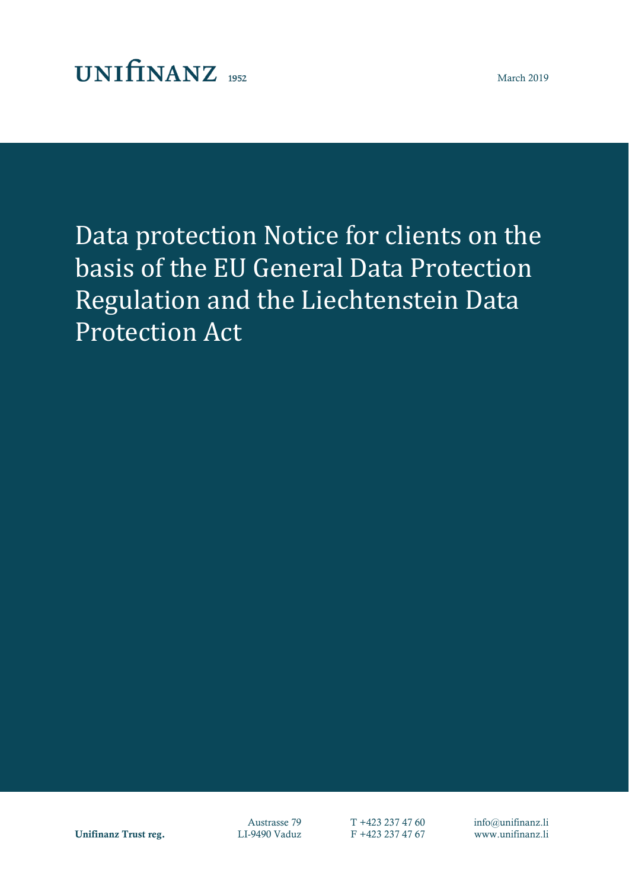## $UNIfINANZ_{1952}$

Data protection Notice for clients on the basis of the EU General Data Protection Regulation and the Liechtenstein Data Protection Act

Unifinanz Trust reg. LI-9490 Vaduz F +423 237 47 67 www.unifinanz.li

Austrasse 79 T +423 237 47 60 info@unifinanz.li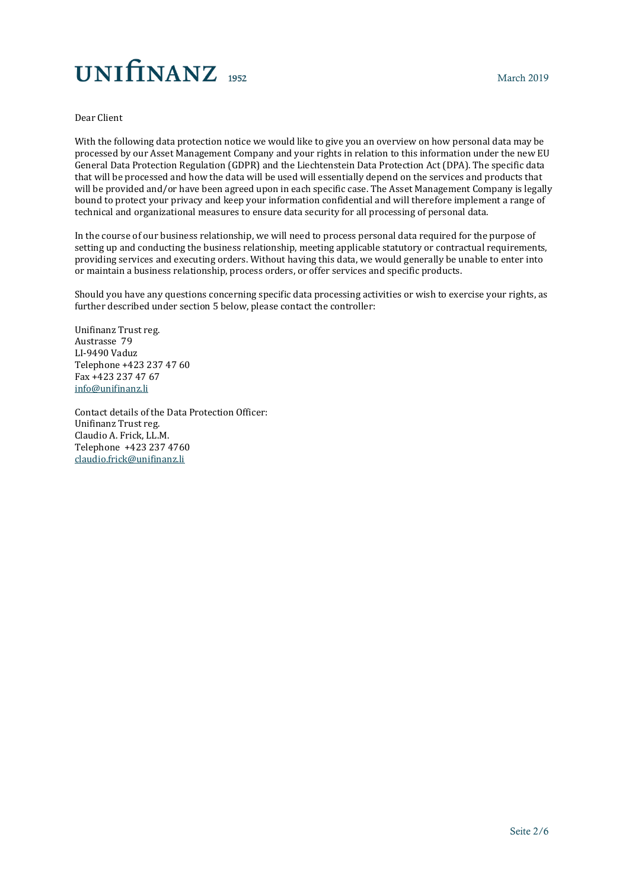# UNIfINANZ<sub>1952</sub>

#### Dear Client

With the following data protection notice we would like to give you an overview on how personal data may be processed by our Asset Management Company and your rights in relation to this information under the new EU General Data Protection Regulation (GDPR) and the Liechtenstein Data Protection Act (DPA). The specific data that will be processed and how the data will be used will essentially depend on the services and products that will be provided and/or have been agreed upon in each specific case. The Asset Management Company is legally bound to protect your privacy and keep your information confidential and will therefore implement a range of technical and organizational measures to ensure data security for all processing of personal data.

In the course of our business relationship, we will need to process personal data required for the purpose of setting up and conducting the business relationship, meeting applicable statutory or contractual requirements, providing services and executing orders. Without having this data, we would generally be unable to enter into or maintain a business relationship, process orders, or offer services and specific products.

Should you have any questions concerning specific data processing activities or wish to exercise your rights, as further described under section 5 below, please contact the controller:

Unifinanz Trust reg. Austrasse 79 LI-9490 Vaduz Telephone +423 237 47 60 Fax +423 237 47 67 [info@unifinanz.li](mailto:info@unifinanz.li)

Contact details of the Data Protection Officer: Unifinanz Trust reg. Claudio A. Frick, LL.M. Telephone +423 237 4760 [claudio.frick@unifinanz.li](mailto:claudio.frick@unifinanz.li)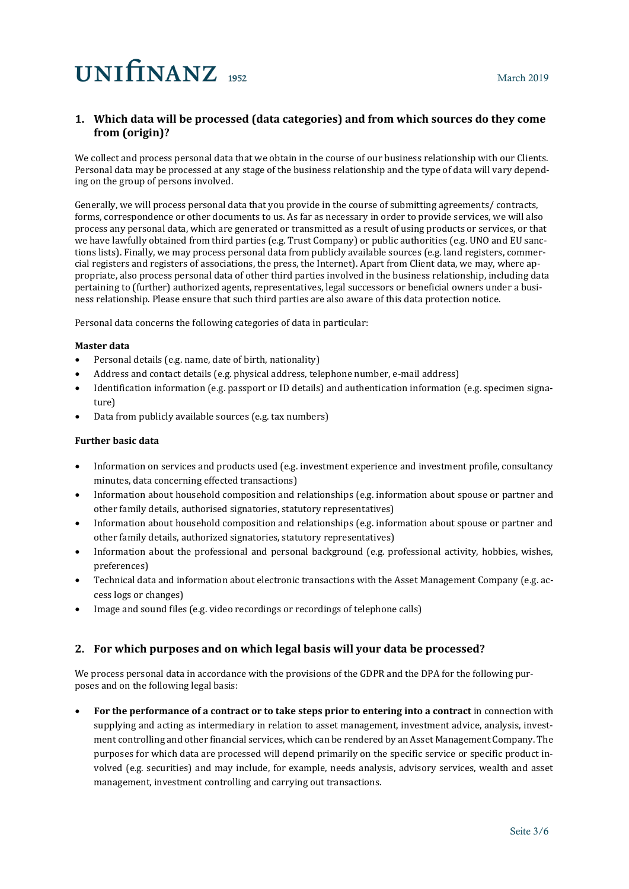## **1. Which data will be processed (data categories) and from which sources do they come from (origin)?**

We collect and process personal data that we obtain in the course of our business relationship with our Clients. Personal data may be processed at any stage of the business relationship and the type of data will vary depending on the group of persons involved.

Generally, we will process personal data that you provide in the course of submitting agreements/ contracts, forms, correspondence or other documents to us. As far as necessary in order to provide services, we will also process any personal data, which are generated or transmitted as a result of using products or services, or that we have lawfully obtained from third parties (e.g. Trust Company) or public authorities (e.g. UNO and EU sanctions lists). Finally, we may process personal data from publicly available sources (e.g. land registers, commercial registers and registers of associations, the press, the Internet). Apart from Client data, we may, where appropriate, also process personal data of other third parties involved in the business relationship, including data pertaining to (further) authorized agents, representatives, legal successors or beneficial owners under a business relationship. Please ensure that such third parties are also aware of this data protection notice.

Personal data concerns the following categories of data in particular:

### **Master data**

- Personal details (e.g. name, date of birth, nationality)
- Address and contact details (e.g. physical address, telephone number, e-mail address)
- Identification information (e.g. passport or ID details) and authentication information (e.g. specimen signature)
- Data from publicly available sources (e.g. tax numbers)

### **Further basic data**

- Information on services and products used (e.g. investment experience and investment profile, consultancy minutes, data concerning effected transactions)
- Information about household composition and relationships (e.g. information about spouse or partner and other family details, authorised signatories, statutory representatives)
- Information about household composition and relationships (e.g. information about spouse or partner and other family details, authorized signatories, statutory representatives)
- Information about the professional and personal background (e.g. professional activity, hobbies, wishes, preferences)
- Technical data and information about electronic transactions with the Asset Management Company (e.g. access logs or changes)
- Image and sound files (e.g. video recordings or recordings of telephone calls)

### **2. For which purposes and on which legal basis will your data be processed?**

We process personal data in accordance with the provisions of the GDPR and the DPA for the following purposes and on the following legal basis:

• **For the performance of a contract or to take steps prior to entering into a contract** in connection with supplying and acting as intermediary in relation to asset management, investment advice, analysis, investment controlling and other financial services, which can be rendered by an Asset Management Company. The purposes for which data are processed will depend primarily on the specific service or specific product involved (e.g. securities) and may include, for example, needs analysis, advisory services, wealth and asset management, investment controlling and carrying out transactions.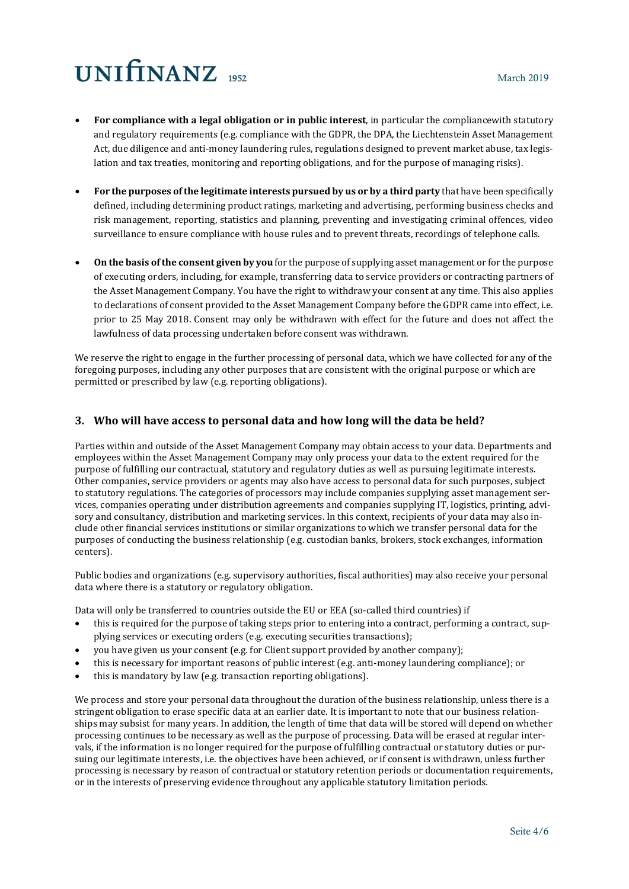# $UNIfINANZ_{1952}$

- **For compliance with a legal obligation or in public interest**, in particular the compliancewith statutory and regulatory requirements (e.g. compliance with the GDPR, the DPA, the Liechtenstein Asset Management Act, due diligence and anti-money laundering rules, regulations designed to prevent market abuse, tax legislation and tax treaties, monitoring and reporting obligations, and for the purpose of managing risks).
- **For the purposes of the legitimate interests pursued by us or by a third party** that have been specifically defined, including determining product ratings, marketing and advertising, performing business checks and risk management, reporting, statistics and planning, preventing and investigating criminal offences, video surveillance to ensure compliance with house rules and to prevent threats, recordings of telephone calls.
- **On the basis of the consent given by you** for the purpose of supplying asset management or for the purpose of executing orders, including, for example, transferring data to service providers or contracting partners of the Asset Management Company. You have the right to withdraw your consent at any time. This also applies to declarations of consent provided to the Asset Management Company before the GDPR came into effect, i.e. prior to 25 May 2018. Consent may only be withdrawn with effect for the future and does not affect the lawfulness of data processing undertaken before consent was withdrawn.

We reserve the right to engage in the further processing of personal data, which we have collected for any of the foregoing purposes, including any other purposes that are consistent with the original purpose or which are permitted or prescribed by law (e.g. reporting obligations).

## **3. Who will have access to personal data and how long will the data be held?**

Parties within and outside of the Asset Management Company may obtain access to your data. Departments and employees within the Asset Management Company may only process your data to the extent required for the purpose of fulfilling our contractual, statutory and regulatory duties as well as pursuing legitimate interests. Other companies, service providers or agents may also have access to personal data for such purposes, subject to statutory regulations. The categories of processors may include companies supplying asset management services, companies operating under distribution agreements and companies supplying IT, logistics, printing, advisory and consultancy, distribution and marketing services. In this context, recipients of your data may also include other financial services institutions or similar organizations to which we transfer personal data for the purposes of conducting the business relationship (e.g. custodian banks, brokers, stock exchanges, information centers).

Public bodies and organizations (e.g. supervisory authorities, fiscal authorities) may also receive your personal data where there is a statutory or regulatory obligation.

Data will only be transferred to countries outside the EU or EEA (so-called third countries) if

- this is required for the purpose of taking steps prior to entering into a contract, performing a contract, supplying services or executing orders (e.g. executing securities transactions);
- you have given us your consent (e.g. for Client support provided by another company);
- this is necessary for important reasons of public interest (e.g. anti-money laundering compliance); or
- this is mandatory by law (e.g. transaction reporting obligations).

We process and store your personal data throughout the duration of the business relationship, unless there is a stringent obligation to erase specific data at an earlier date. It is important to note that our business relationships may subsist for many years. In addition, the length of time that data will be stored will depend on whether processing continues to be necessary as well as the purpose of processing. Data will be erased at regular intervals, if the information is no longer required for the purpose of fulfilling contractual or statutory duties or pursuing our legitimate interests, i.e. the objectives have been achieved, or if consent is withdrawn, unless further processing is necessary by reason of contractual or statutory retention periods or documentation requirements, or in the interests of preserving evidence throughout any applicable statutory limitation periods.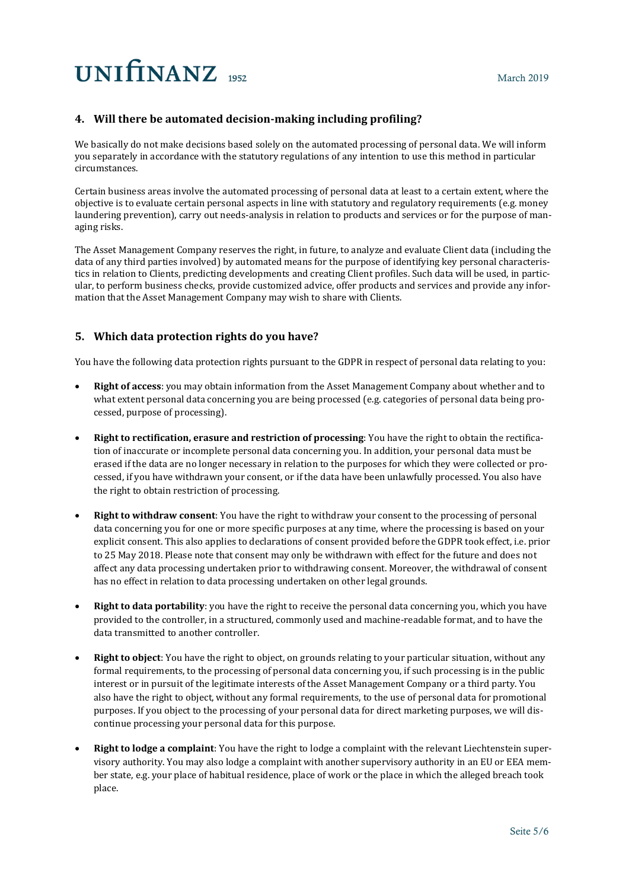# **UNITINANZ** 1952

## **4. Will there be automated decision-making including profiling?**

We basically do not make decisions based solely on the automated processing of personal data. We will inform you separately in accordance with the statutory regulations of any intention to use this method in particular circumstances.

Certain business areas involve the automated processing of personal data at least to a certain extent, where the objective is to evaluate certain personal aspects in line with statutory and regulatory requirements (e.g. money laundering prevention), carry out needs-analysis in relation to products and services or for the purpose of managing risks.

The Asset Management Company reserves the right, in future, to analyze and evaluate Client data (including the data of any third parties involved) by automated means for the purpose of identifying key personal characteristics in relation to Clients, predicting developments and creating Client profiles. Such data will be used, in particular, to perform business checks, provide customized advice, offer products and services and provide any information that the Asset Management Company may wish to share with Clients.

## **5. Which data protection rights do you have?**

You have the following data protection rights pursuant to the GDPR in respect of personal data relating to you:

- **Right of access**: you may obtain information from the Asset Management Company about whether and to what extent personal data concerning you are being processed (e.g. categories of personal data being processed, purpose of processing).
- **Right to rectification, erasure and restriction of processing**: You have the right to obtain the rectification of inaccurate or incomplete personal data concerning you. In addition, your personal data must be erased if the data are no longer necessary in relation to the purposes for which they were collected or processed, if you have withdrawn your consent, or if the data have been unlawfully processed. You also have the right to obtain restriction of processing.
- **Right to withdraw consent**: You have the right to withdraw your consent to the processing of personal data concerning you for one or more specific purposes at any time, where the processing is based on your explicit consent. This also applies to declarations of consent provided before the GDPR took effect, i.e. prior to 25 May 2018. Please note that consent may only be withdrawn with effect for the future and does not affect any data processing undertaken prior to withdrawing consent. Moreover, the withdrawal of consent has no effect in relation to data processing undertaken on other legal grounds.
- **Right to data portability**: you have the right to receive the personal data concerning you, which you have provided to the controller, in a structured, commonly used and machine-readable format, and to have the data transmitted to another controller.
- **Right to object**: You have the right to object, on grounds relating to your particular situation, without any formal requirements, to the processing of personal data concerning you, if such processing is in the public interest or in pursuit of the legitimate interests of the Asset Management Company or a third party. You also have the right to object, without any formal requirements, to the use of personal data for promotional purposes. If you object to the processing of your personal data for direct marketing purposes, we will discontinue processing your personal data for this purpose.
- **Right to lodge a complaint**: You have the right to lodge a complaint with the relevant Liechtenstein supervisory authority. You may also lodge a complaint with another supervisory authority in an EU or EEA member state, e.g. your place of habitual residence, place of work or the place in which the alleged breach took place.